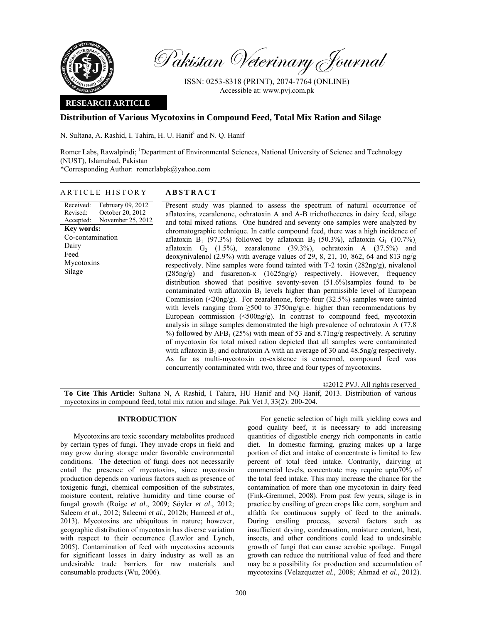

Pakistan Veterinary Journal

ISSN: 0253-8318 (PRINT), 2074-7764 (ONLINE) Accessible at: www.pvj.com.pk

## **RESEARCH ARTICLE**

# **Distribution of Various Mycotoxins in Compound Feed, Total Mix Ration and Silage**

N. Sultana, A. Rashid, I. Tahira, H. U. Hanif<sup>1</sup> and N. Q. Hanif

Romer Labs, Rawalpindi; <sup>1</sup>Department of Environmental Sciences, National University of Science and Technology (NUST), Islamabad, Pakistan \*Corresponding Author: romerlabpk@yahoo.com

### ARTICLE HISTORY **ABSTRACT**

Received: Revised: Accepted: February 09, 2012 October 20, 2012 November 25, 2012 **Key words:**  Co-contamination Dairy Feed Mycotoxins Silage

 Present study was planned to assess the spectrum of natural occurrence of aflatoxins, zearalenone, ochratoxin A and A-B trichothecenes in dairy feed, silage and total mixed rations. One hundred and seventy one samples were analyzed by chromatographic technique. In cattle compound feed, there was a high incidence of aflatoxin B<sub>1</sub> (97.3%) followed by aflatoxin B<sub>2</sub> (50.3%), aflatoxin G<sub>1</sub> (10.7%) aflatoxin  $G_2$  (1.5%), zearalenone (39.3%), ochratoxin A (37.5%) and deoxynivalenol (2.9%) with average values of 29, 8, 21, 10, 862, 64 and 813 ng/g respectively. Nine samples were found tainted with T-2 toxin (282ng/g), nivalenol (285ng/g) and fusarenon-x (1625ng/g) respectively. However, frequency distribution showed that positive seventy-seven (51.6%)samples found to be contaminated with aflatoxin  $B_1$  levels higher than permissible level of European Commission ( $\langle 20ng/g \rangle$ . For zearalenone, forty-four (32.5%) samples were tainted with levels ranging from  $\geq 500$  to 3750ng/gi.e. higher than recommendations by European commission  $(\leq 500 \text{ng/g})$ . In contrast to compound feed, mycotoxin analysis in silage samples demonstrated the high prevalence of ochratoxin A (77.8 %) followed by  $AFB_1$  (25%) with mean of 53 and 8.71ng/g respectively. A scrutiny of mycotoxin for total mixed ration depicted that all samples were contaminated with aflatoxin  $B_1$  and ochratoxin A with an average of 30 and 48.5ng/g respectively. As far as multi-mycotoxin co-existence is concerned, compound feed was concurrently contaminated with two, three and four types of mycotoxins.

©2012 PVJ. All rights reserved **To Cite This Article:** Sultana N, A Rashid, I Tahira, HU Hanif and NQ Hanif, 2013. Distribution of various mycotoxins in compound feed, total mix ration and silage. Pak Vet J, 33(2): 200-204.

### **INTRODUCTION**

Mycotoxins are toxic secondary metabolites produced by certain types of fungi. They invade crops in field and may grow during storage under favorable environmental conditions. The detection of fungi does not necessarily entail the presence of mycotoxins, since mycotoxin production depends on various factors such as presence of toxigenic fungi, chemical composition of the substrates, moisture content, relative humidity and time course of fungal growth (Roige *et al*., 2009; Söyler *et al*., 2012; Saleem *et al*., 2012; Saleemi *et al*., 2012b; Hameed *et al*., 2013). Mycotoxins are ubiquitous in nature; however, geographic distribution of mycotoxin has diverse variation with respect to their occurrence (Lawlor and Lynch, 2005). Contamination of feed with mycotoxins accounts for significant losses in dairy industry as well as an undesirable trade barriers for raw materials and consumable products (Wu, 2006).

For genetic selection of high milk yielding cows and good quality beef, it is necessary to add increasing quantities of digestible energy rich components in cattle diet. In domestic farming, grazing makes up a large portion of diet and intake of concentrate is limited to few percent of total feed intake. Contrarily, dairying at commercial levels, concentrate may require upto70% of the total feed intake. This may increase the chance for the contamination of more than one mycotoxin in dairy feed (Fink-Gremmel, 2008). From past few years, silage is in practice by ensiling of green crops like corn, sorghum and alfalfa for continuous supply of feed to the animals. During ensiling process, several factors such as insufficient drying, condensation, moisture content, heat, insects, and other conditions could lead to undesirable growth of fungi that can cause aerobic spoilage. Fungal growth can reduce the nutritional value of feed and there may be a possibility for production and accumulation of mycotoxins (Velazquez*et al.,* 2008; Ahmad *et al*., 2012).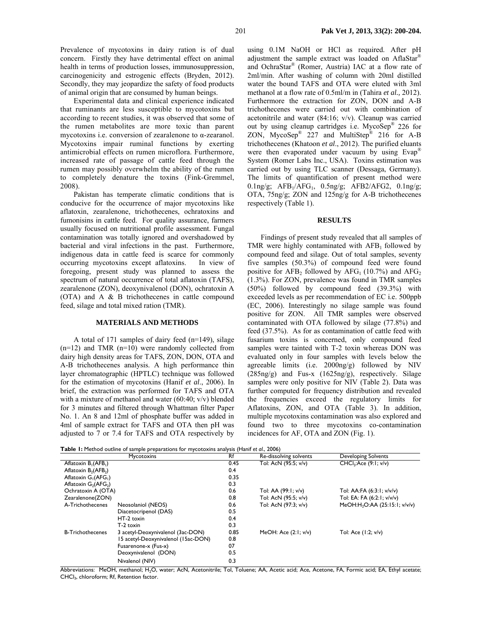Prevalence of mycotoxins in dairy ration is of dual concern. Firstly they have detrimental effect on animal health in terms of production losses, immunosuppression, carcinogenicity and estrogenic effects (Bryden, 2012). Secondly, they may jeopardize the safety of food products of animal origin that are consumed by human beings.

Experimental data and clinical experience indicated that ruminants are less susceptible to mycotoxins but according to recent studies, it was observed that some of the rumen metabolites are more toxic than parent mycotoxins i.e. conversion of zearalenone to α-zearanol. Mycotoxins impair ruminal functions by exerting antimicrobial effects on rumen microflora. Furthermore, increased rate of passage of cattle feed through the rumen may possibly overwhelm the ability of the rumen to completely denature the toxins (Fink-Gremmel, 2008).

Pakistan has temperate climatic conditions that is conducive for the occurrence of major mycotoxins like aflatoxin, zearalenone, trichothecenes, ochratoxins and fumonisins in cattle feed. For quality assurance, farmers usually focused on nutritional profile assessment. Fungal contamination was totally ignored and overshadowed by bacterial and viral infections in the past. Furthermore, indigenous data in cattle feed is scarce for commonly occurring mycotoxins except aflatoxins. In view of foregoing, present study was planned to assess the spectrum of natural occurrence of total aflatoxin (TAFS), zearalenone (ZON), deoxynivalenol (DON), ochratoxin A (OTA) and A & B trichothecenes in cattle compound feed, silage and total mixed ration (TMR).

#### **MATERIALS AND METHODS**

A total of 171 samples of dairy feed (n=149), silage  $(n=12)$  and TMR  $(n=10)$  were randomly collected from dairy high density areas for TAFS, ZON, DON, OTA and A-B trichothecenes analysis. A high performance thin layer chromatographic (HPTLC) technique was followed for the estimation of mycotoxins (Hanif *et al*., 2006). In brief, the extraction was performed for TAFS and OTA with a mixture of methanol and water (60:40; v/v) blended for 3 minutes and filtered through Whattman filter Paper No. 1. An 8 and 12ml of phosphate buffer was added in 4ml of sample extract for TAFS and OTA then pH was adjusted to 7 or 7.4 for TAFS and OTA respectively by

using 0.1M NaOH or HCl as required. After pH adjustment the sample extract was loaded on AflaStar<sup>®</sup> and OchraStar® (Romer, Austria) IAC at a flow rate of 2ml/min. After washing of column with 20ml distilled water the bound TAFS and OTA were eluted with 3ml methanol at a flow rate of 0.5ml/m in (Tahira *et al.,* 2012). Furthermore the extraction for ZON, DON and A-B trichothecenes were carried out with combination of acetonitrile and water (84:16; v/v). Cleanup was carried out by using cleanup cartridges i.e. MycoSep® 226 for ZON, MycoSep® 227 and MultiStep® 216 for A-B trichothecenes (Khatoon *et al*., 2012). The purified eluants were then evaporated under vacuum by using Evap<sup>®</sup> System (Romer Labs Inc., USA). Toxins estimation was carried out by using TLC scanner (Dessaga, Germany). The limits of quantification of present method were 0.1ng/g;  $AFB_1/AFG_1$ , 0.5ng/g;  $AFB2/AFG2$ , 0.1ng/g; OTA, 75ng/g; ZON and 125ng/g for A-B trichothecenes respectively (Table 1).

## **RESULTS**

Findings of present study revealed that all samples of TMR were highly contaminated with  $AFB<sub>1</sub>$  followed by compound feed and silage. Out of total samples, seventy five samples (50.3%) of compound feed were found positive for  $AFB_2$  followed by  $AFG_1$  (10.7%) and  $AFG_2$ (1.3%). For ZON, prevalence was found in TMR samples (50%) followed by compound feed (39.3%) with exceeded levels as per recommendation of EC i.e. 500ppb (EC, 2006). Interestingly no silage sample was found positive for ZON. All TMR samples were observed contaminated with OTA followed by silage (77.8%) and feed (37.5%). As for as contamination of cattle feed with fusarium toxins is concerned, only compound feed samples were tainted with T-2 toxin whereas DON was evaluated only in four samples with levels below the agreeable limits (i.e. 2000ng/g) followed by NIV (285ng/g) and Fus-x (1625ng/g), respectively. Silage samples were only positive for NIV (Table 2). Data was further computed for frequency distribution and revealed the frequencies exceed the regulatory limits for Aflatoxins, ZON, and OTA (Table 3). In addition, multiple mycotoxins contamination was also explored and found two to three mycotoxins co-contamination incidences for AF, OTA and ZON (Fig. 1).

**Table 1:** Method outline of sample preparations for mycotoxins analysis (Hanif *et al*., 2006)

|                                              | <b>Mycotoxins</b>                   | Rf   | Re-dissolving solvents | <b>Developing Solvents</b>                |
|----------------------------------------------|-------------------------------------|------|------------------------|-------------------------------------------|
| Aflatoxin $B_1(AFB_1)$                       |                                     | 0.45 | Tol: AcN (95:5; v/v)   | CHCl <sub>3</sub> :Acc (9:1; v/v)         |
| Aflatoxin $B_2$ (AFB <sub>2</sub> )          |                                     | 0.4  |                        |                                           |
| Aflatoxin G <sub>1</sub> (AFG <sub>1</sub> ) |                                     | 0.35 |                        |                                           |
| Aflatoxin $G_2$ (AFG <sub>2</sub> )          |                                     | 0.3  |                        |                                           |
| Ochratoxin A (OTA)                           |                                     | 0.6  | Tol: AA (99:1; v/v)    | Tol: AA:FA (6:3:1; v/v/v)                 |
| Zearalenone(ZON)                             |                                     | 0.8  | Tol: AcN (95:5; v/v)   | Tol: EA: FA (6:2:1; v/v/v)                |
| A-Trichothecenes                             | Neosolaniol (NEOS)                  | 0.6  | Tol: AcN (97:3; v/v)   | MeOH:H <sub>2</sub> O:AA (25:15:1; v/v/v) |
|                                              | Diacetocripenol (DAS)               | 0.5  |                        |                                           |
|                                              | HT-2 toxin                          | 0.4  |                        |                                           |
|                                              | $T-2$ toxin                         | 0.3  |                        |                                           |
| <b>B-Trichothecenes</b>                      | 3 acetyl-Deoxynivalenol (3ac-DON)   | 0.85 | MeOH: Ace $(2:1: v/v)$ | Tol: Ace (1:2; v/v)                       |
|                                              | 15 acetyl-Deoxynivalenol (15ac-DON) | 0.8  |                        |                                           |
|                                              | Fusarenone-x (Fus-x)                | 07   |                        |                                           |
|                                              | Deoxynivalenol (DON)                | 0.5  |                        |                                           |
|                                              | Nivalenol (NIV)                     | 0.3  |                        |                                           |

Abbreviations: MeOH, methanol; H<sub>2</sub>O, water; AcN, Acetonitrile; Tol, Toluene; AA, Acetic acid; Ace, Acetone, FA, Formic acid; EA, Ethyl acetate; CHCl3, chloroform; Rf, Retention factor.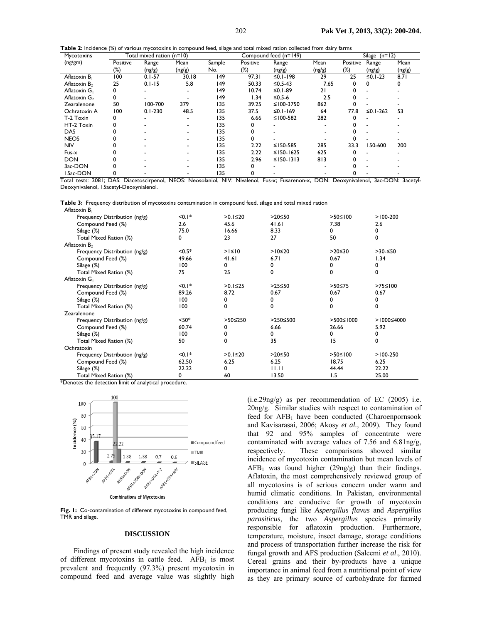**Table 2:** Incidence (%) of various mycotoxins in compound feed, silage and total mixed ration collected from dairy farms

| Mycotoxins      |          | Total mixed ration (n=10) |                          |        | Silage $(n=12)$ |              |        |          |           |        |
|-----------------|----------|---------------------------|--------------------------|--------|-----------------|--------------|--------|----------|-----------|--------|
| (ng/gm)         | Positive | Range                     | Mean                     | Sample | Positive        | Range        | Mean   | Positive | Range     | Mean   |
|                 | (%)      | (ng/g)                    | (ng/g)                   | No.    | (%)             | (ng/g)       | (ng/g) | $(\%)$   | (ng/g)    | (ng/g) |
| Aflatoxin B     | 100      | $0.1 - 57$                | 30.18                    | 149    | 97.31           | $≤0.1-198$   | 29     | 25       | $≤0.1-23$ | 8.71   |
| Aflatoxin $B_2$ | 25       | $0.1 - 15$                | 5.8                      | 149    | 50.33           | $≤0.5-43$    | 7.65   |          |           |        |
| Aflatoxin G     | 0        |                           |                          | 149    | 10.74           | $≤0.1-89$    | 21     |          |           |        |
| Aflatoxin $G_2$ | 0        |                           |                          | 149    | 1.34            | ≤0.5-6       | 2.5    |          |           |        |
| Zearalenone     | 50       | 100-700                   | 379                      | 135    | 39.25           | ≤ $100-3750$ | 862    |          |           |        |
| Ochratoxin A    | 100      | $0.1 - 230$               | 48.5                     | 135    | 37.5            | $≤0.1-169$   | 64     | 77.8     | ≤0.1-262  | 53     |
| T-2 Toxin       |          |                           |                          | 135    | 6.66            | ≤ $100-582$  | 282    |          |           |        |
| HT-2 Toxin      |          |                           |                          | 135    |                 |              |        |          |           |        |
| <b>DAS</b>      |          |                           |                          | 135    |                 |              |        |          |           |        |
| <b>NEOS</b>     |          |                           |                          | 135    |                 |              |        |          |           |        |
| <b>NIV</b>      |          |                           |                          | 135    | 2.22            | ≤150-585     | 285    | 33.3     | 150-600   | 200    |
| Fus-x           |          |                           |                          | 135    | 2.22            | $≤$ 150-1625 | 625    |          |           |        |
| <b>DON</b>      |          |                           |                          | 135    | 2.96            | $≤150-1313$  | 813    |          |           |        |
| 3ac-DON         |          |                           | $\overline{\phantom{0}}$ | 135    |                 |              |        |          |           |        |
| 15ac-DON        |          |                           |                          | 135    |                 |              |        |          |           |        |

Total tests: 2081; DAS: Diacetoscirpenol, NEOS: Neosolaniol, NIV: Nivalenol, Fus-x; Fusarenon-x, DON: Deoxynivalenol, 3ac-DON: 3acetyl-Deoxynivalenol, 15acetyl-Deoxynialenol.

|  |  | Table 3: Frequency distribution of mycotoxins contamination in compound feed, silage and total mixed ration |  |  |  |  |  |  |
|--|--|-------------------------------------------------------------------------------------------------------------|--|--|--|--|--|--|
|--|--|-------------------------------------------------------------------------------------------------------------|--|--|--|--|--|--|

| Aflatoxin B <sub>1</sub>      |             |                |               |                 |               |
|-------------------------------|-------------|----------------|---------------|-----------------|---------------|
| Frequency Distribution (ng/g) | $\leq 0.1*$ | $>0.1 \leq 20$ | $>20 \leq 50$ | $>50 \le 100$   | $>100-200$    |
| Compound Feed (%)             | 2.6         | 45.6           | 41.61         | 7.38            | 2.6           |
| Silage (%)                    | 75.0        | 16.66          | 8.33          | 0               | 0             |
| Total Mixed Ration (%)        | 0           | 23             | 27            | 50              | 0             |
| Aflatoxin $B_2$               |             |                |               |                 |               |
| Frequency Distribution (ng/g) | $< 0.5*$    | $> \leq 0$     | $>10 \le 20$  | $>20 \le 30$    | $>30$ -≤50    |
| Compound Feed (%)             | 49.66       | 41.61          | 6.71          | 0.67            | 1.34          |
| Silage (%)                    | 100         | 0              | 0             | 0               | 0             |
| Total Mixed Ration (%)        | 75          | 25             | 0             | 0               | 0             |
| Aflatoxin G                   |             |                |               |                 |               |
| Frequency Distribution (ng/g) | $< 0.1*$    | $>0.1 \le 25$  | $>25 \leq 50$ | $>50 \le 75$    | $>75 \le 100$ |
| Compound Feed (%)             | 89.26       | 8.72           | 0.67          | 0.67            | 0.67          |
| Silage (%)                    | 100         | 0              | 0             | 0               | 0             |
| Total Mixed Ration (%)        | 100         | 0              | 0             | $\Omega$        | $\mathbf 0$   |
| Zearalenone                   |             |                |               |                 |               |
| Frequency Distribution (ng/g) | $< 50*$     | $>50 \leq 250$ | >250≤500      | $>500 \le 1000$ | >1000≤4000    |
| Compound Feed (%)             | 60.74       | 0              | 6.66          | 26.66           | 5.92          |
| Silage (%)                    | 100         | 0              | 0             | 0               | 0             |
| Total Mixed Ration (%)        | 50          | $\Omega$       | 35            | 15              | 0             |
| Ochratoxin                    |             |                |               |                 |               |
| Frequency Distribution (ng/g) | $< 0.1*$    | $>0.1 \leq 20$ | $>20 \leq 50$ | $>50 \le 100$   | $>100-250$    |
| Compound Feed (%)             | 62.50       | 6.25           | 6.25          | 18.75           | 6.25          |
| Silage (%)                    | 22.22       | 0              | 11.11         | 44.44           | 22.22         |
| Total Mixed Ration (%)        | 0           | 60             | 13.50         | 1.5             | 25.00         |

\*Denotes the detection limit of analytical procedure.



Fig. 1: Co-contamination of different mycotoxins in compound feed, TMR and silage.

### **DISCUSSION**

Findings of present study revealed the high incidence of different mycotoxins in cattle feed.  $AFB<sub>1</sub>$  is most prevalent and frequently (97.3%) present mycotoxin in compound feed and average value was slightly high (i.e.29ng/g) as per recommendation of EC (2005) i.e. 20ng/g. Similar studies with respect to contamination of feed for  $AFB<sub>1</sub>$  have been conducted (Charoenpornsook and Kavisarasai, 2006; Akosy *et al.,* 2009). They found that 92 and 95% samples of concentrate were contaminated with average values of 7.56 and 6.81ng/g, respectively. These comparisons showed similar incidence of mycotoxin contamination but mean levels of  $AFB<sub>1</sub>$  was found higher (29ng/g) than their findings. Aflatoxin, the most comprehensively reviewed group of all mycotoxins is of serious concern under warm and humid climatic conditions. In Pakistan, environmental conditions are conducive for growth of mycotoxin producing fungi like *Aspergillus flavus* and *Aspergillus parasiticus*, the two *Aspergillus* species primarily responsible for aflatoxin production. Furthermore, temperature, moisture, insect damage, storage conditions and process of transportation further increase the risk for fungal growth and AFS production (Saleemi *et al*., 2010). Cereal grains and their by-products have a unique importance in animal feed from a nutritional point of view as they are primary source of carbohydrate for farmed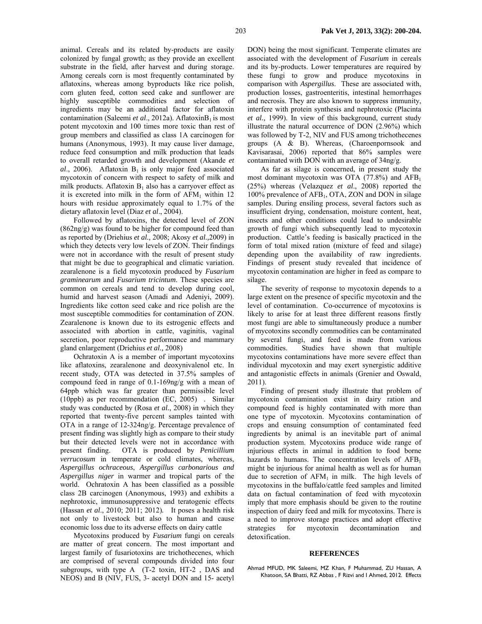animal. Cereals and its related by-products are easily colonized by fungal growth; as they provide an excellent substrate in the field, after harvest and during storage. Among cereals corn is most frequently contaminated by aflatoxins, whereas among byproducts like rice polish, corn gluten feed, cotton seed cake and sunflower are highly susceptible commodities and selection of ingredients may be an additional factor for aflatoxin contamination (Saleemi *et al.*, 2012a). AflatoxinB<sub>1</sub> is most potent mycotoxin and 100 times more toxic than rest of group members and classified as class 1A carcinogen for humans (Anonymous, 1993). It may cause liver damage, reduce feed consumption and milk production that leads to overall retarded growth and development (Akande *et*   $al$ ., 2006). Aflatoxin  $B_1$  is only major feed associated mycotoxin of concern with respect to safety of milk and milk products. Aflatoxin  $B_1$  also has a carryover effect as it is excreted into milk in the form of  $AFM<sub>1</sub>$  within 12 hours with residue approximately equal to 1.7% of the dietary aflatoxin level (Diaz *et al*., 2004).

Followed by aflatoxins, the detected level of ZON (862ng/g) was found to be higher for compound feed than as reported by (Driehius *et al.,* 2008; Akosy *et al.,*2009) in which they detects very low levels of ZON. Their findings were not in accordance with the result of present study that might be due to geographical and climatic variation. zearalenone is a field mycotoxin produced by *Fusarium graminearum* and *Fusarium tricintum*. These species are common on cereals and tend to develop during cool, humid and harvest season (Amadi and Adeniyi, 2009). Ingredients like cotton seed cake and rice polish are the most susceptible commodities for contamination of ZON. Zearalenone is known due to its estrogenic effects and associated with abortion in cattle, vaginitis, vaginal secretion, poor reproductive performance and mammary gland enlargement (Driehius *et al.,* 2008)

Ochratoxin A is a member of important mycotoxins like aflatoxins, zearalenone and deoxynivalenol etc. In recent study, OTA was detected in 37.5% samples of compound feed in range of 0.1-169ng/g with a mean of 64ppb which was far greater than permissible level (10ppb) as per recommendation (EC, 2005) . Similar study was conducted by (Rosa *et al.*, 2008) in which they reported that twenty-five percent samples tainted with OTA in a range of 12-324ng/g. Percentage prevalence of present finding was slightly high as compare to their study but their detected levels were not in accordance with present finding. OTA is produced by *Penicillium verrucosum* in temperate or cold climates, whereas, *Aspergillus ochraceous*, *Aspergillus carbonarious and Aspergillus niger* in warmer and tropical parts of the world. Ochratoxin A has been classified as a possible class 2B carcinogen (Anonymous, 1993) and exhibits a nephrotoxic, immunosuppressive and teratogenic effects (Hassan *et al*., 2010; 2011; 2012)*.* It poses a health risk not only to livestock but also to human and cause economic loss due to its adverse effects on dairy cattle

Mycotoxins produced by *Fusarium* fungi on cereals are matter of great concern. The most important and largest family of fusariotoxins are trichothecenes, which are comprised of several compounds divided into four subgroups, with type A (T-2 toxin, HT-2 , DAS and NEOS) and B (NIV, FUS, 3- acetyl DON and 15- acetyl DON) being the most significant. Temperate climates are associated with the development of *Fusarium* in cereals and its by-products. Lower temperatures are required by these fungi to grow and produce mycotoxins in comparison with *Aspergillus*. These are associated with, production losses, gastroenteritis, intestinal hemorrhages and necrosis. They are also known to suppress immunity, interfere with protein synthesis and nephrotoxic (Placinta *et al.,* 1999). In view of this background, current study illustrate the natural occurrence of DON (2.96%) which was followed by T-2, NIV and FUS among trichothecenes groups (A & B). Whereas, (Charoenpornsook and Kavisarasai, 2006) reported that 86% samples were contaminated with DON with an average of 34ng/g.

As far as silage is concerned, in present study the most dominant mycotoxin was OTA  $(77.8%)$  and AFB<sub>1</sub> (25%) whereas (Velazquez *et al*., 2008) reported the 100% prevalence of AFB1, OTA, ZON and DON in silage samples. During ensiling process, several factors such as insufficient drying, condensation, moisture content, heat, insects and other conditions could lead to undesirable growth of fungi which subsequently lead to mycotoxin production. Cattle's feeding is basically practiced in the form of total mixed ration (mixture of feed and silage) depending upon the availability of raw ingredients. Findings of present study revealed that incidence of mycotoxin contamination are higher in feed as compare to silage.

The severity of response to mycotoxin depends to a large extent on the presence of specific mycotoxin and the level of contamination. Co-occurrence of mycotoxins is likely to arise for at least three different reasons firstly most fungi are able to simultaneously produce a number of mycotoxins secondly commodities can be contaminated by several fungi, and feed is made from various commodities. Studies have shown that multiple mycotoxins contaminations have more severe effect than individual mycotoxin and may exert synergistic additive and antagonistic effects in animals (Grenier and Oswald, 2011).

Finding of present study illustrate that problem of mycotoxin contamination exist in dairy ration and compound feed is highly contaminated with more than one type of mycotoxin. Mycotoxins contamination of crops and ensuing consumption of contaminated feed ingredients by animal is an inevitable part of animal production system. Mycotoxins produce wide range of injurious effects in animal in addition to food borne hazards to humans. The concentration levels of  $AFB<sub>1</sub>$ might be injurious for animal health as well as for human due to secretion of  $AFM<sub>1</sub>$  in milk. The high levels of mycotoxins in the buffalo/cattle feed samples and limited data on factual contamination of feed with mycotoxin imply that more emphasis should be given to the routine inspection of dairy feed and milk for mycotoxins. There is a need to improve storage practices and adopt effective strategies for mycotoxin decontamination and detoxification.

#### **REFERENCES**

Ahmad MFUD, MK Saleemi, MZ Khan, F Muhammad, ZU Hassan, A Khatoon, SA Bhatti, RZ Abbas , F Rizvi and I Ahmed, 2012. Effects